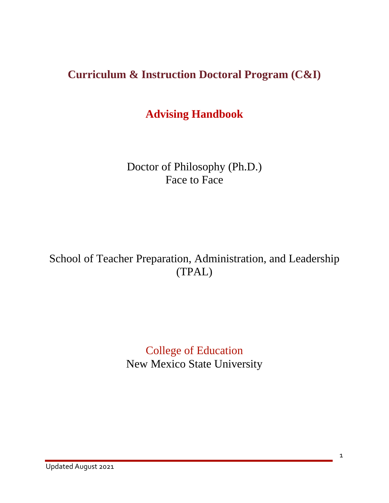# **Curriculum & Instruction Doctoral Program (C&I)**

# **Advising Handbook**

Doctor of Philosophy (Ph.D.) Face to Face

School of Teacher Preparation, Administration, and Leadership (TPAL)

> College of Education New Mexico State University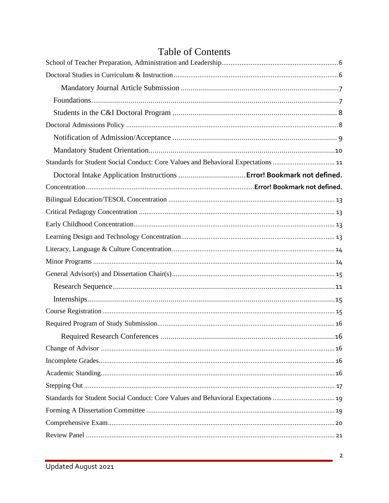| Standards for Student Social Conduct: Core Values and Behavioral Expectations  11 |  |
|-----------------------------------------------------------------------------------|--|
|                                                                                   |  |
|                                                                                   |  |
|                                                                                   |  |
|                                                                                   |  |
|                                                                                   |  |
|                                                                                   |  |
|                                                                                   |  |
|                                                                                   |  |
|                                                                                   |  |
|                                                                                   |  |
|                                                                                   |  |
|                                                                                   |  |
|                                                                                   |  |
|                                                                                   |  |
|                                                                                   |  |
|                                                                                   |  |
|                                                                                   |  |
|                                                                                   |  |
| Standards for Student Social Conduct: Core Values and Behavioral Expectations  19 |  |
|                                                                                   |  |
|                                                                                   |  |
|                                                                                   |  |

# Table of Contents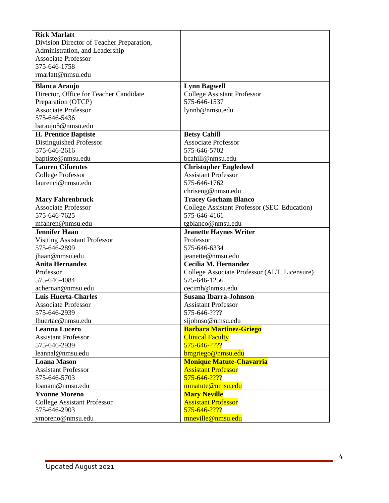| <b>Rick Marlatt</b>                                |                                                               |
|----------------------------------------------------|---------------------------------------------------------------|
| Division Director of Teacher Preparation,          |                                                               |
| Administration, and Leadership                     |                                                               |
| <b>Associate Professor</b>                         |                                                               |
| 575-646-1758                                       |                                                               |
| rmarlatt@nmsu.edu                                  |                                                               |
| <b>Blanca Araujo</b>                               | <b>Lynn Bagwell</b>                                           |
| Director, Office for Teacher Candidate             | <b>College Assistant Professor</b>                            |
| Preparation (OTCP)                                 | 575-646-1537                                                  |
| <b>Associate Professor</b>                         | lynnb@nmsu.edu                                                |
| 575-646-5436                                       |                                                               |
| baraujo5@nmsu.edu                                  |                                                               |
| <b>H. Prentice Baptiste</b>                        | <b>Betsy Cahill</b>                                           |
| Distinguished Professor                            | <b>Associate Professor</b>                                    |
| 575-646-2616                                       | 575-646-5702                                                  |
| baptiste@nmsu.edu                                  | bcahill@nmsu.edu                                              |
| <b>Lauren Cifuentes</b>                            | <b>Christopher Engledowl</b>                                  |
| <b>College Professor</b>                           | <b>Assistant Professor</b>                                    |
| laurenci@nmsu.edu                                  | 575-646-1762                                                  |
|                                                    | chriseng@nmsu.edu                                             |
| <b>Mary Fahrenbruck</b>                            | <b>Tracey Gorham Blanco</b>                                   |
| <b>Associate Professor</b>                         | College Assistant Professor (SEC. Education)                  |
| 575-646-7625                                       | 575-646-4161                                                  |
| mfahren@nmsu.edu                                   | tgblanco@nmsu.edu                                             |
| <b>Jennifer Haan</b>                               | <b>Jeanette Haynes Writer</b>                                 |
| <b>Visiting Assistant Professor</b>                | Professor                                                     |
| 575-646-2899                                       | 575-646-6334                                                  |
| jhaan@nmsu.edu                                     | jeanette@nmsu.edu                                             |
| <b>Anita Hernandez</b>                             | Cecilia M. Hernandez                                          |
| Professor                                          | College Associate Professor (ALT. Licensure)                  |
| 575-646-4084                                       | 575-646-1256                                                  |
| achernan@nmsu.edu                                  | cecimh@nmsu.edu                                               |
| <b>Luis Huerta-Charles</b>                         | <b>Susana Ibarra-Johnson</b>                                  |
| <b>Associate Professor</b>                         | <b>Assistant Professor</b>                                    |
| 575-646-2939                                       | 575-646-????                                                  |
| lhuertac@nmsu.edu                                  | sijohnso@nmsu.edu                                             |
| <b>Leanna Lucero</b>                               | <b>Barbara Martinez-Griego</b>                                |
| <b>Assistant Professor</b>                         | <b>Clinical Faculty</b>                                       |
| 575-646-2939                                       | 575-646-????                                                  |
| leannal@nmsu.edu<br><b>Loana Mason</b>             | bmgriego@nmsu.edu                                             |
| <b>Assistant Professor</b>                         | <b>Monique Matute-Chavarria</b><br><b>Assistant Professor</b> |
| 575-646-5703                                       | 575-646-????                                                  |
| loanam@nmsu.edu                                    | mmatute@nmsu.edu                                              |
| <b>Yvonne Moreno</b>                               | <b>Mary Neville</b>                                           |
|                                                    | <b>Assistant Professor</b>                                    |
| <b>College Assistant Professor</b><br>575-646-2903 | 575-646-????                                                  |
|                                                    |                                                               |
| ymoreno@nmsu.edu                                   | mneville@nmsu.edu                                             |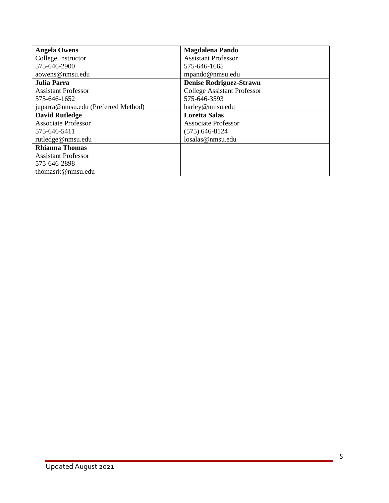| <b>Angela Owens</b>                 | <b>Magdalena Pando</b>             |
|-------------------------------------|------------------------------------|
| College Instructor                  | <b>Assistant Professor</b>         |
| 575-646-2900                        | 575-646-1665                       |
| aowens@nmsu.edu                     | mpando@nmsu.edu                    |
| Julia Parra                         | <b>Denise Rodriguez-Strawn</b>     |
| <b>Assistant Professor</b>          | <b>College Assistant Professor</b> |
| 575-646-1652                        | 575-646-3593                       |
| juparra@nmsu.edu (Preferred Method) | harley@nmsu.edu                    |
| <b>David Rutledge</b>               | <b>Loretta Salas</b>               |
| <b>Associate Professor</b>          | <b>Associate Professor</b>         |
| 575-646-5411                        | $(575)$ 646-8124                   |
| rutledge@nmsu.edu                   | losalas@nmsu.edu                   |
| <b>Rhianna Thomas</b>               |                                    |
| <b>Assistant Professor</b>          |                                    |
| 575-646-2898                        |                                    |
| thomasrk@nmsu.edu                   |                                    |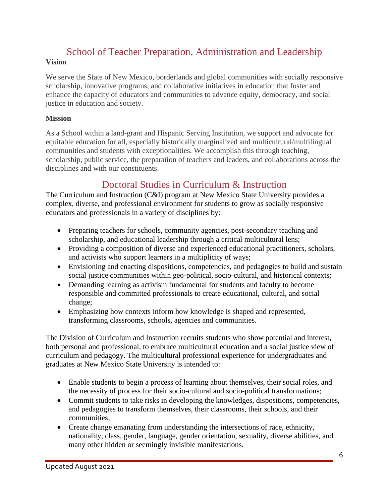### School of Teacher Preparation, Administration and Leadership **Vision**

We serve the State of New Mexico, borderlands and global communities with socially responsive scholarship, innovative programs, and collaborative initiatives in education that foster and enhance the capacity of educators and communities to advance equity, democracy, and social justice in education and society.

#### **Mission**

As a School within a land-grant and Hispanic Serving Institution, we support and advocate for equitable education for all, especially historically marginalized and multicultural/multilingual communities and students with exceptionalities. We accomplish this through teaching, scholarship, public service, the preparation of teachers and leaders, and collaborations across the disciplines and with our constituents.

## Doctoral Studies in Curriculum & Instruction

The Curriculum and Instruction (C&I) program at New Mexico State University provides a complex, diverse, and professional environment for students to grow as socially responsive educators and professionals in a variety of disciplines by:

- Preparing teachers for schools, community agencies, post-secondary teaching and scholarship, and educational leadership through a critical multicultural lens;
- Providing a composition of diverse and experienced educational practitioners, scholars, and activists who support learners in a multiplicity of ways;
- Envisioning and enacting dispositions, competencies, and pedagogies to build and sustain social justice communities within geo-political, socio-cultural, and historical contexts;
- Demanding learning as activism fundamental for students and faculty to become responsible and committed professionals to create educational, cultural, and social change;
- Emphasizing how contexts inform how knowledge is shaped and represented, transforming classrooms, schools, agencies and communities.

The Division of Curriculum and Instruction recruits students who show potential and interest, both personal and professional, to embrace multicultural education and a social justice view of curriculum and pedagogy. The multicultural professional experience for undergraduates and graduates at New Mexico State University is intended to:

- Enable students to begin a process of learning about themselves, their social roles, and the necessity of process for their socio-cultural and socio-political transformations;
- Commit students to take risks in developing the knowledges, dispositions, competencies, and pedagogies to transform themselves, their classrooms, their schools, and their communities;
- Create change emanating from understanding the intersections of race, ethnicity, nationality, class, gender, language, gender orientation, sexuality, diverse abilities, and many other hidden or seemingly invisible manifestations.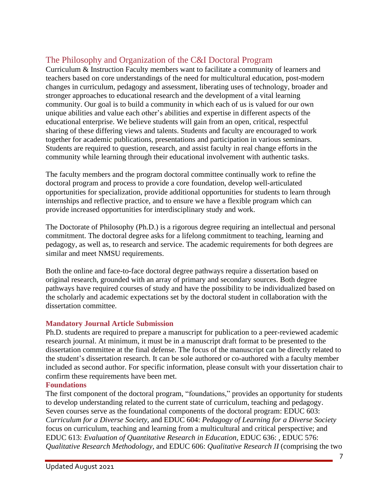### The Philosophy and Organization of the C&I Doctoral Program

Curriculum & Instruction Faculty members want to facilitate a community of learners and teachers based on core understandings of the need for multicultural education, post-modern changes in curriculum, pedagogy and assessment, liberating uses of technology, broader and stronger approaches to educational research and the development of a vital learning community. Our goal is to build a community in which each of us is valued for our own unique abilities and value each other's abilities and expertise in different aspects of the educational enterprise. We believe students will gain from an open, critical, respectful sharing of these differing views and talents. Students and faculty are encouraged to work together for academic publications, presentations and participation in various seminars. Students are required to question, research, and assist faculty in real change efforts in the community while learning through their educational involvement with authentic tasks.

The faculty members and the program doctoral committee continually work to refine the doctoral program and process to provide a core foundation, develop well-articulated opportunities for specialization, provide additional opportunities for students to learn through internships and reflective practice, and to ensure we have a flexible program which can provide increased opportunities for interdisciplinary study and work.

The Doctorate of Philosophy (Ph.D.) is a rigorous degree requiring an intellectual and personal commitment. The doctoral degree asks for a lifelong commitment to teaching, learning and pedagogy, as well as, to research and service. The academic requirements for both degrees are similar and meet NMSU requirements.

Both the online and face-to-face doctoral degree pathways require a dissertation based on original research, grounded with an array of primary and secondary sources. Both degree pathways have required courses of study and have the possibility to be individualized based on the scholarly and academic expectations set by the doctoral student in collaboration with the dissertation committee.

### **Mandatory Journal Article Submission**

Ph.D. students are required to prepare a manuscript for publication to a peer-reviewed academic research journal. At minimum, it must be in a manuscript draft format to be presented to the dissertation committee at the final defense. The focus of the manuscript can be directly related to the student's dissertation research. It can be sole authored or co-authored with a faculty member included as second author. For specific information, please consult with your dissertation chair to confirm these requirements have been met.

### **Foundations**

The first component of the doctoral program, "foundations," provides an opportunity for students to develop understanding related to the current state of curriculum, teaching and pedagogy. Seven courses serve as the foundational components of the doctoral program: EDUC 603: *Curriculum for a Diverse Society*, and EDUC 604: *Pedagogy of Learning for a Diverse Society* focus on curriculum, teaching and learning from a multicultural and critical perspective; and EDUC 613: *Evaluation of Quantitative Research in Education,* EDUC 636: *,* EDUC 576: *Qualitative Research Methodology*, and EDUC 606: *Qualitative Research II* (comprising the two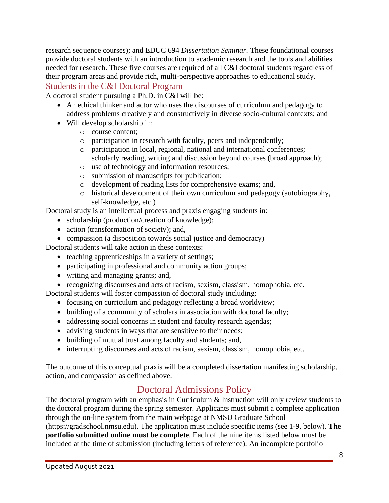research sequence courses); and EDUC 694 *Dissertation Seminar*. These foundational courses provide doctoral students with an introduction to academic research and the tools and abilities needed for research. These five courses are required of all C&I doctoral students regardless of their program areas and provide rich, multi-perspective approaches to educational study. Students in the C&I Doctoral Program

A doctoral student pursuing a Ph.D. in C&I will be:

- An ethical thinker and actor who uses the discourses of curriculum and pedagogy to address problems creatively and constructively in diverse socio-cultural contexts; and
- Will develop scholarship in:
	- o course content;
	- o participation in research with faculty, peers and independently;
	- o participation in local, regional, national and international conferences; scholarly reading, writing and discussion beyond courses (broad approach);
	- o use of technology and information resources;
	- o submission of manuscripts for publication;
	- o development of reading lists for comprehensive exams; and,
	- o historical development of their own curriculum and pedagogy (autobiography, self-knowledge, etc.)

Doctoral study is an intellectual process and praxis engaging students in:

- scholarship (production/creation of knowledge);
- action (transformation of society); and,
- compassion (a disposition towards social justice and democracy)

Doctoral students will take action in these contexts:

- teaching apprenticeships in a variety of settings;
- participating in professional and community action groups;
- writing and managing grants; and,
- recognizing discourses and acts of racism, sexism, classism, homophobia, etc.

Doctoral students will foster compassion of doctoral study including:

- focusing on curriculum and pedagogy reflecting a broad worldview;
- building of a community of scholars in association with doctoral faculty;
- addressing social concerns in student and faculty research agendas;
- advising students in ways that are sensitive to their needs;
- building of mutual trust among faculty and students; and,
- interrupting discourses and acts of racism, sexism, classism, homophobia, etc.

The outcome of this conceptual praxis will be a completed dissertation manifesting scholarship, action, and compassion as defined above.

# Doctoral Admissions Policy

The doctoral program with an emphasis in Curriculum & Instruction will only review students to the doctoral program during the spring semester. Applicants must submit a complete application through the on-line system from the main webpage at NMSU Graduate School (https://gradschool.nmsu.edu). The application must include specific items (see 1-9, below). **The portfolio submitted online must be complete**. Each of the nine items listed below must be included at the time of submission (including letters of reference). An incomplete portfolio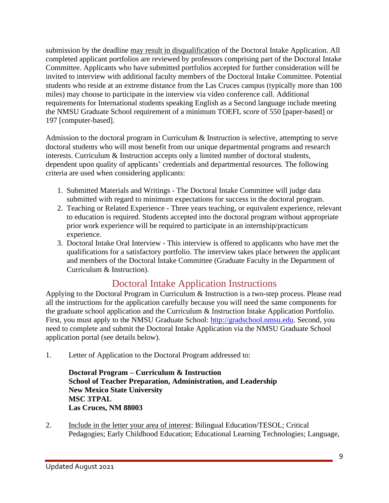submission by the deadline may result in disqualification of the Doctoral Intake Application. All completed applicant portfolios are reviewed by professors comprising part of the Doctoral Intake Committee. Applicants who have submitted portfolios accepted for further consideration will be invited to interview with additional faculty members of the Doctoral Intake Committee. Potential students who reside at an extreme distance from the Las Cruces campus (typically more than 100 miles) may choose to participate in the interview via video conference call. Additional requirements for International students speaking English as a Second language include meeting the NMSU Graduate School requirement of a minimum TOEFL score of 550 [paper-based] or 197 [computer-based].

Admission to the doctoral program in Curriculum & Instruction is selective, attempting to serve doctoral students who will most benefit from our unique departmental programs and research interests. Curriculum & Instruction accepts only a limited number of doctoral students, dependent upon quality of applicants' credentials and departmental resources. The following criteria are used when considering applicants:

- 1. Submitted Materials and Writings The Doctoral Intake Committee will judge data submitted with regard to minimum expectations for success in the doctoral program.
- 2. Teaching or Related Experience Three years teaching, or equivalent experience, relevant to education is required. Students accepted into the doctoral program without appropriate prior work experience will be required to participate in an internship/practicum experience.
- 3. Doctoral Intake Oral Interview This interview is offered to applicants who have met the qualifications for a satisfactory portfolio. The interview takes place between the applicant and members of the Doctoral Intake Committee (Graduate Faculty in the Department of Curriculum & Instruction).

# Doctoral Intake Application Instructions

Applying to the Doctoral Program in Curriculum & Instruction is a two-step process. Please read all the instructions for the application carefully because you will need the same components for the graduate school application and the Curriculum & Instruction Intake Application Portfolio. First, you must apply to the NMSU Graduate School: [http://gradschool.nmsu.edu.](http://gradschool.nmsu.edu/) Second, you need to complete and submit the Doctoral Intake Application via the NMSU Graduate School application portal (see details below).

1. Letter of Application to the Doctoral Program addressed to:

**Doctoral Program – Curriculum & Instruction School of Teacher Preparation, Administration, and Leadership New Mexico State University MSC 3TPAL Las Cruces, NM 88003**

2. Include in the letter your area of interest: Bilingual Education/TESOL; Critical Pedagogies; Early Childhood Education; Educational Learning Technologies; Language,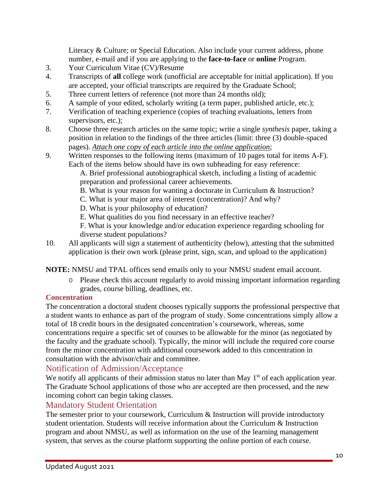Literacy & Culture; or Special Education. Also include your current address, phone number, e-mail and if you are applying to the **face-to-face** or **online** Program.

- 3. Your Curriculum Vitae (CV)/Resume
- 4. Transcripts of **all** college work (unofficial are acceptable for initial application). If you are accepted, your official transcripts are required by the Graduate School;
- 5. Three current letters of reference (not more than 24 months old);
- 6. A sample of your edited, scholarly writing (a term paper, published article, etc.);
- 7. Verification of teaching experience (copies of teaching evaluations, letters from supervisors, etc.);
- 8. Choose three research articles on the same topic; write a single *synthesis* paper, taking a position in relation to the findings of the three articles (limit: three (3) double-spaced pages). *Attach one copy of each article into the online application*;
- 9. Written responses to the following items (maximum of 10 pages total for items A-F). Each of the items below should have its own subheading for easy reference:

- B. What is your reason for wanting a doctorate in Curriculum & Instruction?
- C. What is your major area of interest (concentration)? And why?
- D. What is your philosophy of education?
- E. What qualities do you find necessary in an effective teacher?
- F. What is your knowledge and/or education experience regarding schooling for diverse student populations?
- 10. All applicants will sign a statement of authenticity (below), attesting that the submitted application is their own work (please print, sign, scan, and upload to the application)

**NOTE:** NMSU and TPAL offices send emails only to your NMSU student email account.

o Please check this account regularly to avoid missing important information regarding grades, course billing, deadlines, etc.

### **Concentration**

The concentration a doctoral student chooses typically supports the professional perspective that a student wants to enhance as part of the program of study. Some concentrations simply allow a total of 18 credit hours in the designated concentration's coursework, whereas, some concentrations require a specific set of courses to be allowable for the minor (as negotiated by the faculty and the graduate school). Typically, the minor will include the required core course from the minor concentration with additional coursework added to this concentration in consultation with the advisor/chair and committee.

### Notification of Admission/Acceptance

We notify all applicants of their admission status no later than May 1<sup>st</sup> of each application year. The Graduate School applications of those who are accepted are then processed, and the new incoming cohort can begin taking classes.

### Mandatory Student Orientation

The semester prior to your coursework, Curriculum & Instruction will provide introductory student orientation. Students will receive information about the Curriculum & Instruction program and about NMSU, as well as information on the use of the learning management system, that serves as the course platform supporting the online portion of each course.

A. Brief professional autobiographical sketch, including a listing of academic preparation and professional career achievements.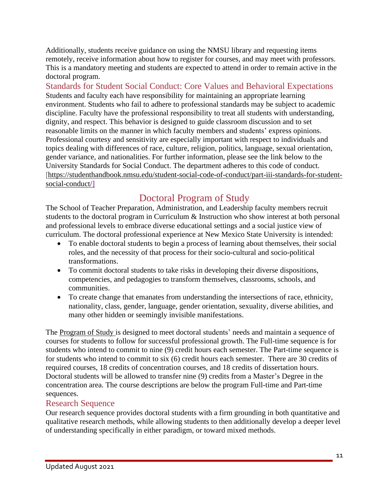Additionally, students receive guidance on using the NMSU library and requesting items remotely, receive information about how to register for courses, and may meet with professors. This is a mandatory meeting and students are expected to attend in order to remain active in the doctoral program.

Standards for Student Social Conduct: Core Values and Behavioral Expectations Students and faculty each have responsibility for maintaining an appropriate learning environment. Students who fail to adhere to professional standards may be subject to academic discipline. Faculty have the professional responsibility to treat all students with understanding, dignity, and respect. This behavior is designed to guide classroom discussion and to set reasonable limits on the manner in which faculty members and students' express opinions. Professional courtesy and sensitivity are especially important with respect to individuals and topics dealing with differences of race, culture, religion, politics, language, sexual orientation, gender variance, and nationalities. For further information, please see the link below to the University Standards for Social Conduct. The department adheres to this code of conduct. [[https://studenthandbook.nmsu.edu/student-social-code-of-conduct/part-iii-standards-for-student](https://studenthandbook.nmsu.edu/student-social-code-of-conduct/part-iii-standards-for-student-social-conduct/)[social-conduct/\]](https://studenthandbook.nmsu.edu/student-social-code-of-conduct/part-iii-standards-for-student-social-conduct/)

# Doctoral Program of Study

The School of Teacher Preparation, Administration, and Leadership faculty members recruit students to the doctoral program in Curriculum & Instruction who show interest at both personal and professional levels to embrace diverse educational settings and a social justice view of curriculum. The doctoral professional experience at New Mexico State University is intended:

- To enable doctoral students to begin a process of learning about themselves, their social roles, and the necessity of that process for their socio-cultural and socio-political transformations.
- To commit doctoral students to take risks in developing their diverse dispositions, competencies, and pedagogies to transform themselves, classrooms, schools, and communities.
- To create change that emanates from understanding the intersections of race, ethnicity, nationality, class, gender, language, gender orientation, sexuality, diverse abilities, and many other hidden or seemingly invisible manifestations.

The Program of Study is designed to meet doctoral students' needs and maintain a sequence of courses for students to follow for successful professional growth. The Full-time sequence is for students who intend to commit to nine (9) credit hours each semester. The Part-time sequence is for students who intend to commit to six (6) credit hours each semester. There are 30 credits of required courses, 18 credits of concentration courses, and 18 credits of dissertation hours. Doctoral students will be allowed to transfer nine (9) credits from a Master's Degree in the concentration area. The course descriptions are below the program Full-time and Part-time sequences.

### Research Sequence

Our research sequence provides doctoral students with a firm grounding in both quantitative and qualitative research methods, while allowing students to then additionally develop a deeper level of understanding specifically in either paradigm, or toward mixed methods.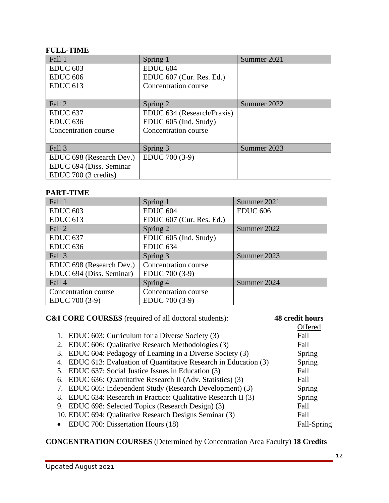### **FULL-TIME**

| Fall 1                   | Spring 1                   | Summer 2021 |
|--------------------------|----------------------------|-------------|
| <b>EDUC 603</b>          | <b>EDUC 604</b>            |             |
| <b>EDUC 606</b>          | EDUC 607 (Cur. Res. Ed.)   |             |
| <b>EDUC 613</b>          | Concentration course       |             |
|                          |                            |             |
| Fall 2                   | Spring 2                   | Summer 2022 |
| EDUC <sub>637</sub>      | EDUC 634 (Research/Praxis) |             |
| EDUC <sub>636</sub>      | EDUC 605 (Ind. Study)      |             |
| Concentration course     | Concentration course       |             |
|                          |                            |             |
| Fall 3                   | Spring 3                   | Summer 2023 |
| EDUC 698 (Research Dev.) | EDUC 700 (3-9)             |             |
| EDUC 694 (Diss. Seminar  |                            |             |
| EDUC 700 (3 credits)     |                            |             |

### **PART-TIME**

| Fall 1                   | Spring 1                 | Summer 2021     |
|--------------------------|--------------------------|-----------------|
| <b>EDUC 603</b>          | EDUC <sub>604</sub>      | <b>EDUC 606</b> |
| <b>EDUC 613</b>          | EDUC 607 (Cur. Res. Ed.) |                 |
| Fall 2                   | Spring 2                 | Summer 2022     |
| EDUC <sub>637</sub>      | EDUC 605 (Ind. Study)    |                 |
| EDUC <sub>636</sub>      | EDUC <sub>634</sub>      |                 |
| Fall 3                   | Spring 3                 | Summer 2023     |
| EDUC 698 (Research Dev.) | Concentration course     |                 |
| EDUC 694 (Diss. Seminar) | EDUC 700 (3-9)           |                 |
| Fall 4                   | Spring 4                 | Summer 2024     |
| Concentration course     | Concentration course     |                 |
| EDUC 700 (3-9)           | EDUC 700 (3-9)           |                 |

| <b>C&amp;I CORE COURSES</b> (required of all doctoral students):  | 48 credit hours |
|-------------------------------------------------------------------|-----------------|
|                                                                   | Offered         |
| 1. EDUC 603: Curriculum for a Diverse Society (3)                 | Fall            |
| 2. EDUC 606: Qualitative Research Methodologies (3)               | Fall            |
| 3. EDUC 604: Pedagogy of Learning in a Diverse Society (3)        | Spring          |
| 4. EDUC 613: Evaluation of Quantitative Research in Education (3) | Spring          |
| 5. EDUC 637: Social Justice Issues in Education (3)               | Fall            |
| 6. EDUC 636: Quantitative Research II (Adv. Statistics) (3)       | Fall            |
| 7. EDUC 605: Independent Study (Research Development) (3)         | Spring          |
| 8. EDUC 634: Research in Practice: Qualitative Research II (3)    | Spring          |
| 9. EDUC 698: Selected Topics (Research Design) (3)                | Fall            |
| 10. EDUC 694: Qualitative Research Designs Seminar (3)            | Fall            |
| EDUC 700: Dissertation Hours (18)<br>$\bullet$                    | Fall-Spring     |

**CONCENTRATION COURSES** (Determined by Concentration Area Faculty) **18 Credits**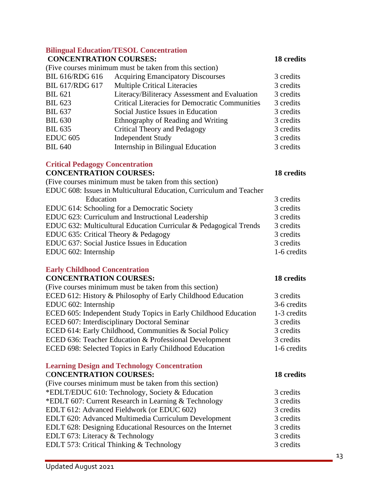### **Bilingual Education/TESOL Concentration**

#### **CONCENTRATION COURSES: 18 credits**

(Five courses minimum must be taken from this section)

| <b>BIL 616/RDG 616</b> | <b>Acquiring Emancipatory Discourses</b>              | 3 credits |
|------------------------|-------------------------------------------------------|-----------|
| <b>BIL 617/RDG 617</b> | <b>Multiple Critical Literacies</b>                   | 3 credits |
| <b>BIL 621</b>         | Literacy/Biliteracy Assessment and Evaluation         | 3 credits |
| <b>BIL 623</b>         | <b>Critical Literacies for Democratic Communities</b> | 3 credits |
| <b>BIL 637</b>         | Social Justice Issues in Education                    | 3 credits |
| <b>BIL 630</b>         | Ethnography of Reading and Writing                    | 3 credits |
| <b>BIL 635</b>         | Critical Theory and Pedagogy                          | 3 credits |
| <b>EDUC 605</b>        | <b>Independent Study</b>                              | 3 credits |
| <b>BIL 640</b>         | Internship in Bilingual Education                     | 3 credits |
|                        |                                                       |           |

### **Critical Pedagogy Concentration**

### **CONCENTRATION COURSES: 18 credits**

| (Five courses minimum must be taken from this section)              |             |
|---------------------------------------------------------------------|-------------|
| EDUC 608: Issues in Multicultural Education, Curriculum and Teacher |             |
| Education                                                           | 3 credits   |
| EDUC 614: Schooling for a Democratic Society                        | 3 credits   |
| EDUC 623: Curriculum and Instructional Leadership                   | 3 credits   |
| EDUC 632: Multicultural Education Curricular & Pedagogical Trends   | 3 credits   |
| EDUC 635: Critical Theory & Pedagogy                                | 3 credits   |
| EDUC 637: Social Justice Issues in Education                        | 3 credits   |
| EDUC 602: Internship                                                | 1-6 credits |
|                                                                     |             |

#### **Early Childhood Concentration**

### **CONCENTRATION COURSES: 18 credits**

| CONCENTRATION COURSES:                                                                                                              | 10 creans   |
|-------------------------------------------------------------------------------------------------------------------------------------|-------------|
| (Five courses minimum must be taken from this section)                                                                              |             |
| ECED 612: History & Philosophy of Early Childhood Education                                                                         | 3 credits   |
| EDUC 602: Internship                                                                                                                | 3-6 credits |
| ECED 605: Independent Study Topics in Early Childhood Education                                                                     | 1-3 credits |
| ECED 607: Interdisciplinary Doctoral Seminar                                                                                        | 3 credits   |
| ECED 614: Early Childhood, Communities & Social Policy                                                                              | 3 credits   |
| ECED 636: Teacher Education & Professional Development                                                                              | 3 credits   |
| ECED 698: Selected Topics in Early Childhood Education                                                                              | 1-6 credits |
|                                                                                                                                     |             |
| $\mathbf{r}$ and $\mathbf{r}$ and $\mathbf{r}$ and $\mathbf{r}$ and $\mathbf{r}$ and $\mathbf{r}$ and $\mathbf{r}$ and $\mathbf{r}$ |             |

### **Learning Design and Technology Concentration**

| <b>CONCENTRATION COURSES:</b>                             | 18 credits |
|-----------------------------------------------------------|------------|
| (Five courses minimum must be taken from this section)    |            |
| *EDLT/EDUC 610: Technology, Society & Education           | 3 credits  |
| *EDLT 607: Current Research in Learning & Technology      | 3 credits  |
| EDLT 612: Advanced Fieldwork (or EDUC 602)                | 3 credits  |
| EDLT 620: Advanced Multimedia Curriculum Development      | 3 credits  |
| EDLT 628: Designing Educational Resources on the Internet | 3 credits  |
| EDLT 673: Literacy & Technology                           | 3 credits  |
| <b>EDLT 573: Critical Thinking &amp; Technology</b>       | 3 credits  |
|                                                           |            |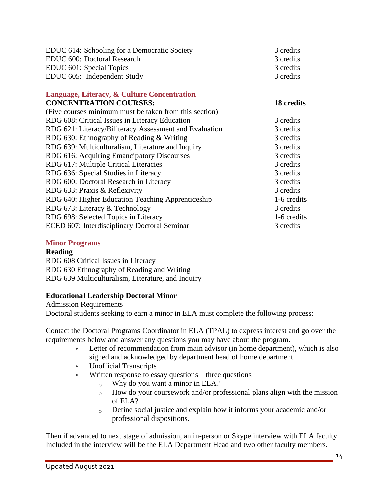| EDUC 614: Schooling for a Democratic Society<br>EDUC 600: Doctoral Research<br>EDUC 601: Special Topics<br>EDUC 605: Independent Study | 3 credits<br>3 credits<br>3 credits<br>3 credits |
|----------------------------------------------------------------------------------------------------------------------------------------|--------------------------------------------------|
| Language, Literacy, & Culture Concentration                                                                                            |                                                  |
| <b>CONCENTRATION COURSES:</b>                                                                                                          | 18 credits                                       |
| (Five courses minimum must be taken from this section)                                                                                 |                                                  |
| RDG 608: Critical Issues in Literacy Education                                                                                         | 3 credits                                        |
| RDG 621: Literacy/Biliteracy Assessment and Evaluation                                                                                 | 3 credits                                        |
| RDG 630: Ethnography of Reading & Writing                                                                                              | 3 credits                                        |
| RDG 639: Multiculturalism, Literature and Inquiry                                                                                      | 3 credits                                        |
| RDG 616: Acquiring Emancipatory Discourses                                                                                             | 3 credits                                        |
| RDG 617: Multiple Critical Literacies                                                                                                  | 3 credits                                        |
| RDG 636: Special Studies in Literacy                                                                                                   | 3 credits                                        |
| RDG 600: Doctoral Research in Literacy                                                                                                 | 3 credits                                        |
| RDG 633: Praxis & Reflexivity                                                                                                          | 3 credits                                        |
| RDG 640: Higher Education Teaching Apprenticeship                                                                                      | 1-6 credits                                      |
| RDG 673: Literacy & Technology                                                                                                         | 3 credits                                        |
| RDG 698: Selected Topics in Literacy                                                                                                   | 1-6 credits                                      |
| ECED 607: Interdisciplinary Doctoral Seminar                                                                                           | 3 credits                                        |
|                                                                                                                                        |                                                  |

#### **Minor Programs**

#### **Reading**

RDG 608 Critical Issues in Literacy RDG 630 Ethnography of Reading and Writing RDG 639 Multiculturalism, Literature, and Inquiry

#### **Educational Leadership Doctoral Minor**

Admission Requirements Doctoral students seeking to earn a minor in ELA must complete the following process:

Contact the Doctoral Programs Coordinator in ELA (TPAL) to express interest and go over the requirements below and answer any questions you may have about the program.

- Letter of recommendation from main advisor (in home department), which is also signed and acknowledged by department head of home department.
- Unofficial Transcripts
- Written response to essay questions three questions
	- $\circ$  Why do you want a minor in ELA?
	- $\circ$  How do your coursework and/or professional plans align with the mission of ELA?
	- o Define social justice and explain how it informs your academic and/or professional dispositions.

Then if advanced to next stage of admission, an in-person or Skype interview with ELA faculty. Included in the interview will be the ELA Department Head and two other faculty members.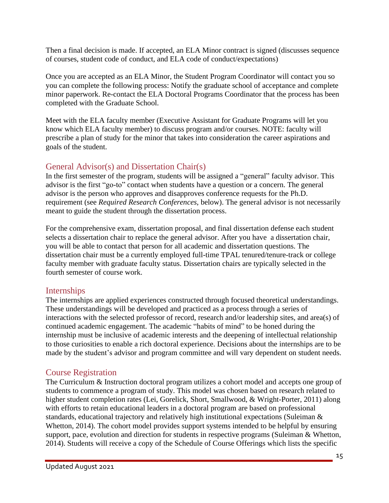Then a final decision is made. If accepted, an ELA Minor contract is signed (discusses sequence of courses, student code of conduct, and ELA code of conduct/expectations)

Once you are accepted as an ELA Minor, the Student Program Coordinator will contact you so you can complete the following process: Notify the graduate school of acceptance and complete minor paperwork. Re-contact the ELA Doctoral Programs Coordinator that the process has been completed with the Graduate School.

Meet with the ELA faculty member (Executive Assistant for Graduate Programs will let you know which ELA faculty member) to discuss program and/or courses. NOTE: faculty will prescribe a plan of study for the minor that takes into consideration the career aspirations and goals of the student.

### General Advisor(s) and Dissertation Chair(s)

In the first semester of the program, students will be assigned a "general" faculty advisor. This advisor is the first "go-to" contact when students have a question or a concern. The general advisor is the person who approves and disapproves conference requests for the Ph.D. requirement (see *Required Research Conferences*, below). The general advisor is not necessarily meant to guide the student through the dissertation process.

For the comprehensive exam, dissertation proposal, and final dissertation defense each student selects a dissertation chair to replace the general advisor. After you have a dissertation chair, you will be able to contact that person for all academic and dissertation questions. The dissertation chair must be a currently employed full-time TPAL tenured/tenure-track or college faculty member with graduate faculty status. Dissertation chairs are typically selected in the fourth semester of course work.

### Internships

The internships are applied experiences constructed through focused theoretical understandings. These understandings will be developed and practiced as a process through a series of interactions with the selected professor of record, research and/or leadership sites, and area(s) of continued academic engagement. The academic "habits of mind" to be honed during the internship must be inclusive of academic interests and the deepening of intellectual relationship to those curiosities to enable a rich doctoral experience. Decisions about the internships are to be made by the student's advisor and program committee and will vary dependent on student needs.

### Course Registration

The Curriculum & Instruction doctoral program utilizes a cohort model and accepts one group of students to commence a program of study. This model was chosen based on research related to higher student completion rates (Lei, Gorelick, Short, Smallwood, & Wright-Porter, 2011) along with efforts to retain educational leaders in a doctoral program are based on professional standards, educational trajectory and relatively high institutional expectations (Suleiman & Whetton, 2014). The cohort model provides support systems intended to be helpful by ensuring support, pace, evolution and direction for students in respective programs (Suleiman & Whetton, 2014). Students will receive a copy of the Schedule of Course Offerings which lists the specific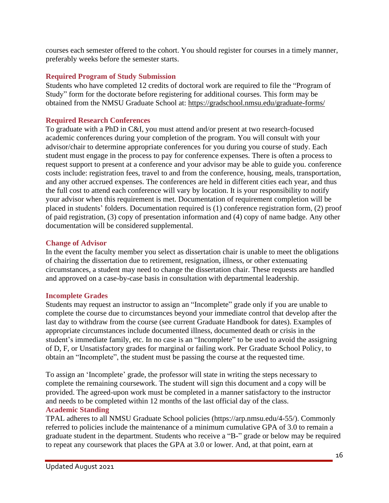courses each semester offered to the cohort. You should register for courses in a timely manner, preferably weeks before the semester starts.

### **Required Program of Study Submission**

Students who have completed 12 credits of doctoral work are required to file the "Program of Study" form for the doctorate before registering for additional courses. This form may be obtained from the NMSU Graduate School at: <https://gradschool.nmsu.edu/graduate-forms/>

### **Required Research Conferences**

To graduate with a PhD in C&I, you must attend and/or present at two research-focused academic conferences during your completion of the program. You will consult with your advisor/chair to determine appropriate conferences for you during you course of study. Each student must engage in the process to pay for conference expenses. There is often a process to request support to present at a conference and your advisor may be able to guide you. conference costs include: registration fees, travel to and from the conference, housing, meals, transportation, and any other accrued expenses. The conferences are held in different cities each year, and thus the full cost to attend each conference will vary by location. It is your responsibility to notify your advisor when this requirement is met. Documentation of requirement completion will be placed in students' folders. Documentation required is (1) conference registration form, (2) proof of paid registration, (3) copy of presentation information and (4) copy of name badge. Any other documentation will be considered supplemental.

### **Change of Advisor**

In the event the faculty member you select as dissertation chair is unable to meet the obligations of chairing the dissertation due to retirement, resignation, illness, or other extenuating circumstances, a student may need to change the dissertation chair. These requests are handled and approved on a case-by-case basis in consultation with departmental leadership.

### **Incomplete Grades**

Students may request an instructor to assign an "Incomplete" grade only if you are unable to complete the course due to circumstances beyond your immediate control that develop after the last day to withdraw from the course (see current Graduate Handbook for dates). Examples of appropriate circumstances include documented illness, documented death or crisis in the student's immediate family, etc. In no case is an "Incomplete" to be used to avoid the assigning of D, F, or Unsatisfactory grades for marginal or failing work. Per Graduate School Policy, to obtain an "Incomplete", the student must be passing the course at the requested time.

To assign an 'Incomplete' grade, the professor will state in writing the steps necessary to complete the remaining coursework. The student will sign this document and a copy will be provided. The agreed-upon work must be completed in a manner satisfactory to the instructor and needs to be completed within 12 months of the last official day of the class. **Academic Standing**

TPAL adheres to all NMSU Graduate School policies (https://arp.nmsu.edu/4-55/). Commonly referred to policies include the maintenance of a minimum cumulative GPA of 3.0 to remain a graduate student in the department. Students who receive a "B-" grade or below may be required to repeat any coursework that places the GPA at 3.0 or lower. And, at that point, earn at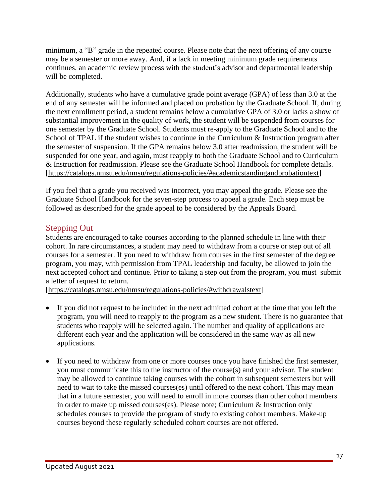minimum, a "B" grade in the repeated course. Please note that the next offering of any course may be a semester or more away. And, if a lack in meeting minimum grade requirements continues, an academic review process with the student's advisor and departmental leadership will be completed.

Additionally, students who have a cumulative grade point average (GPA) of less than 3.0 at the end of any semester will be informed and placed on probation by the Graduate School. If, during the next enrollment period, a student remains below a cumulative GPA of 3.0 or lacks a show of substantial improvement in the quality of work, the student will be suspended from courses for one semester by the Graduate School. Students must re-apply to the Graduate School and to the School of TPAL if the student wishes to continue in the Curriculum & Instruction program after the semester of suspension. If the GPA remains below 3.0 after readmission, the student will be suspended for one year, and again, must reapply to both the Graduate School and to Curriculum & Instruction for readmission. Please see the Graduate School Handbook for complete details. [\[https://catalogs.nmsu.edu/nmsu/regulations-policies/#academicstandingandprobationtext\]](https://catalogs.nmsu.edu/nmsu/regulations-policies/#academicstandingandprobationtext)

If you feel that a grade you received was incorrect, you may appeal the grade. Please see the Graduate School Handbook for the seven-step process to appeal a grade. Each step must be followed as described for the grade appeal to be considered by the Appeals Board.

### Stepping Out

Students are encouraged to take courses according to the planned schedule in line with their cohort. In rare circumstances, a student may need to withdraw from a course or step out of all courses for a semester. If you need to withdraw from courses in the first semester of the degree program, you may, with permission from TPAL leadership and faculty, be allowed to join the next accepted cohort and continue. Prior to taking a step out from the program, you must submit a letter of request to return.

[\[https://catalogs.nmsu.edu/nmsu/regulations-policies/#withdrawalstext\]](https://catalogs.nmsu.edu/nmsu/regulations-policies/#withdrawalstext)

- If you did not request to be included in the next admitted cohort at the time that you left the program, you will need to reapply to the program as a new student. There is no guarantee that students who reapply will be selected again. The number and quality of applications are different each year and the application will be considered in the same way as all new applications.
- If you need to withdraw from one or more courses once you have finished the first semester, you must communicate this to the instructor of the course(s) and your advisor. The student may be allowed to continue taking courses with the cohort in subsequent semesters but will need to wait to take the missed courses(es) until offered to the next cohort. This may mean that in a future semester, you will need to enroll in more courses than other cohort members in order to make up missed courses(es). Please note; Curriculum & Instruction only schedules courses to provide the program of study to existing cohort members. Make-up courses beyond these regularly scheduled cohort courses are not offered.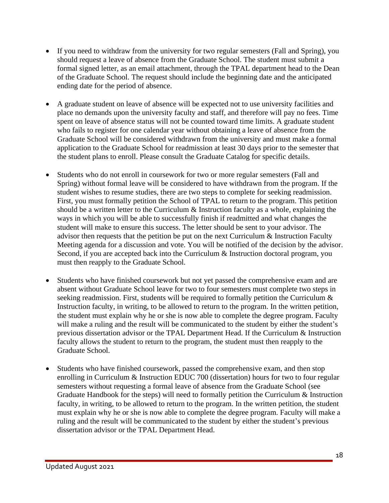- If you need to withdraw from the university for two regular semesters (Fall and Spring), you should request a leave of absence from the Graduate School. The student must submit a formal signed letter, as an email attachment, through the TPAL department head to the Dean of the Graduate School. The request should include the beginning date and the anticipated ending date for the period of absence.
- A graduate student on leave of absence will be expected not to use university facilities and place no demands upon the university faculty and staff, and therefore will pay no fees. Time spent on leave of absence status will not be counted toward time limits. A graduate student who fails to register for one calendar year without obtaining a leave of absence from the Graduate School will be considered withdrawn from the university and must make a formal application to the Graduate School for readmission at least 30 days prior to the semester that the student plans to enroll. Please consult the Graduate Catalog for specific details.
- Students who do not enroll in coursework for two or more regular semesters (Fall and Spring) without formal leave will be considered to have withdrawn from the program. If the student wishes to resume studies, there are two steps to complete for seeking readmission. First, you must formally petition the School of TPAL to return to the program. This petition should be a written letter to the Curriculum  $\&$  Instruction faculty as a whole, explaining the ways in which you will be able to successfully finish if readmitted and what changes the student will make to ensure this success. The letter should be sent to your advisor. The advisor then requests that the petition be put on the next Curriculum & Instruction Faculty Meeting agenda for a discussion and vote. You will be notified of the decision by the advisor. Second, if you are accepted back into the Curriculum & Instruction doctoral program, you must then reapply to the Graduate School.
- Students who have finished coursework but not yet passed the comprehensive exam and are absent without Graduate School leave for two to four semesters must complete two steps in seeking readmission. First, students will be required to formally petition the Curriculum & Instruction faculty, in writing, to be allowed to return to the program. In the written petition, the student must explain why he or she is now able to complete the degree program. Faculty will make a ruling and the result will be communicated to the student by either the student's previous dissertation advisor or the TPAL Department Head. If the Curriculum & Instruction faculty allows the student to return to the program, the student must then reapply to the Graduate School.
- Students who have finished coursework, passed the comprehensive exam, and then stop enrolling in Curriculum & Instruction EDUC 700 (dissertation) hours for two to four regular semesters without requesting a formal leave of absence from the Graduate School (see Graduate Handbook for the steps) will need to formally petition the Curriculum  $\&$  Instruction faculty, in writing, to be allowed to return to the program. In the written petition, the student must explain why he or she is now able to complete the degree program. Faculty will make a ruling and the result will be communicated to the student by either the student's previous dissertation advisor or the TPAL Department Head.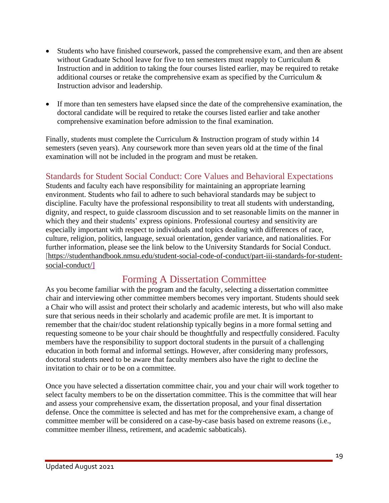- Students who have finished coursework, passed the comprehensive exam, and then are absent without Graduate School leave for five to ten semesters must reapply to Curriculum  $\&$ Instruction and in addition to taking the four courses listed earlier, may be required to retake additional courses or retake the comprehensive exam as specified by the Curriculum & Instruction advisor and leadership.
- If more than ten semesters have elapsed since the date of the comprehensive examination, the doctoral candidate will be required to retake the courses listed earlier and take another comprehensive examination before admission to the final examination.

Finally, students must complete the Curriculum & Instruction program of study within 14 semesters (seven years). Any coursework more than seven years old at the time of the final examination will not be included in the program and must be retaken.

### Standards for Student Social Conduct: Core Values and Behavioral Expectations

Students and faculty each have responsibility for maintaining an appropriate learning environment. Students who fail to adhere to such behavioral standards may be subject to discipline. Faculty have the professional responsibility to treat all students with understanding, dignity, and respect, to guide classroom discussion and to set reasonable limits on the manner in which they and their students' express opinions. Professional courtesy and sensitivity are especially important with respect to individuals and topics dealing with differences of race, culture, religion, politics, language, sexual orientation, gender variance, and nationalities. For further information, please see the link below to the University Standards for Social Conduct. [[https://studenthandbook.nmsu.edu/student-social-code-of-conduct/part-iii-standards-for-student](https://studenthandbook.nmsu.edu/student-social-code-of-conduct/part-iii-standards-for-student-social-conduct/)[social-conduct/\]](https://studenthandbook.nmsu.edu/student-social-code-of-conduct/part-iii-standards-for-student-social-conduct/)

## Forming A Dissertation Committee

As you become familiar with the program and the faculty, selecting a dissertation committee chair and interviewing other committee members becomes very important. Students should seek a Chair who will assist and protect their scholarly and academic interests, but who will also make sure that serious needs in their scholarly and academic profile are met. It is important to remember that the chair/doc student relationship typically begins in a more formal setting and requesting someone to be your chair should be thoughtfully and respectfully considered. Faculty members have the responsibility to support doctoral students in the pursuit of a challenging education in both formal and informal settings. However, after considering many professors, doctoral students need to be aware that faculty members also have the right to decline the invitation to chair or to be on a committee.

Once you have selected a dissertation committee chair, you and your chair will work together to select faculty members to be on the dissertation committee. This is the committee that will hear and assess your comprehensive exam, the dissertation proposal, and your final dissertation defense. Once the committee is selected and has met for the comprehensive exam, a change of committee member will be considered on a case-by-case basis based on extreme reasons (i.e., committee member illness, retirement, and academic sabbaticals).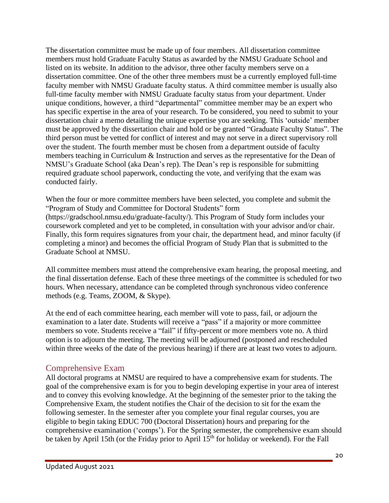The dissertation committee must be made up of four members. All dissertation committee members must hold Graduate Faculty Status as awarded by the NMSU Graduate School and listed on its website. In addition to the advisor, three other faculty members serve on a dissertation committee. One of the other three members must be a currently employed full-time faculty member with NMSU Graduate faculty status. A third committee member is usually also full-time faculty member with NMSU Graduate faculty status from your department. Under unique conditions, however, a third "departmental" committee member may be an expert who has specific expertise in the area of your research. To be considered, you need to submit to your dissertation chair a memo detailing the unique expertise you are seeking. This 'outside' member must be approved by the dissertation chair and hold or be granted "Graduate Faculty Status". The third person must be vetted for conflict of interest and may not serve in a direct supervisory roll over the student. The fourth member must be chosen from a department outside of faculty members teaching in Curriculum & Instruction and serves as the representative for the Dean of NMSU's Graduate School (aka Dean's rep). The Dean's rep is responsible for submitting required graduate school paperwork, conducting the vote, and verifying that the exam was conducted fairly.

When the four or more committee members have been selected, you complete and submit the "Program of Study and Committee for Doctoral Students" form (https://gradschool.nmsu.edu/graduate-faculty/). This Program of Study form includes your coursework completed and yet to be completed, in consultation with your advisor and/or chair. Finally, this form requires signatures from your chair, the department head, and minor faculty (if completing a minor) and becomes the official Program of Study Plan that is submitted to the Graduate School at NMSU.

All committee members must attend the comprehensive exam hearing, the proposal meeting, and the final dissertation defense. Each of these three meetings of the committee is scheduled for two hours. When necessary, attendance can be completed through synchronous video conference methods (e.g. Teams, ZOOM, & Skype).

At the end of each committee hearing, each member will vote to pass, fail, or adjourn the examination to a later date. Students will receive a "pass" if a majority or more committee members so vote. Students receive a "fail" if fifty-percent or more members vote no. A third option is to adjourn the meeting. The meeting will be adjourned (postponed and rescheduled within three weeks of the date of the previous hearing) if there are at least two votes to adjourn.

### Comprehensive Exam

All doctoral programs at NMSU are required to have a comprehensive exam for students. The goal of the comprehensive exam is for you to begin developing expertise in your area of interest and to convey this evolving knowledge. At the beginning of the semester prior to the taking the Comprehensive Exam, the student notifies the Chair of the decision to sit for the exam the following semester. In the semester after you complete your final regular courses, you are eligible to begin taking EDUC 700 (Doctoral Dissertation) hours and preparing for the comprehensive examination ('comps'). For the Spring semester, the comprehensive exam should be taken by April 15th (or the Friday prior to April 15<sup>th</sup> for holiday or weekend). For the Fall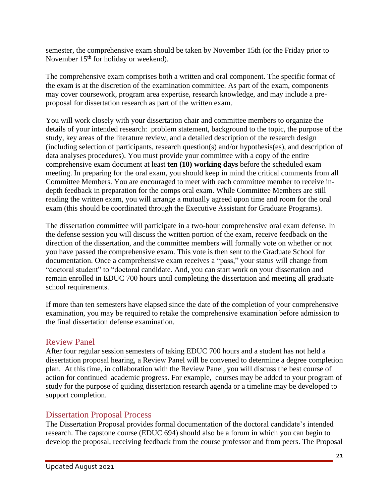semester, the comprehensive exam should be taken by November 15th (or the Friday prior to November  $15<sup>th</sup>$  for holiday or weekend).

The comprehensive exam comprises both a written and oral component. The specific format of the exam is at the discretion of the examination committee. As part of the exam, components may cover coursework, program area expertise, research knowledge, and may include a preproposal for dissertation research as part of the written exam.

You will work closely with your dissertation chair and committee members to organize the details of your intended research: problem statement, background to the topic, the purpose of the study, key areas of the literature review, and a detailed description of the research design (including selection of participants, research question(s) and/or hypothesis(es), and description of data analyses procedures). You must provide your committee with a copy of the entire comprehensive exam document at least **ten (10) working days** before the scheduled exam meeting. In preparing for the oral exam, you should keep in mind the critical comments from all Committee Members. You are encouraged to meet with each committee member to receive indepth feedback in preparation for the comps oral exam. While Committee Members are still reading the written exam, you will arrange a mutually agreed upon time and room for the oral exam (this should be coordinated through the Executive Assistant for Graduate Programs).

The dissertation committee will participate in a two-hour comprehensive oral exam defense. In the defense session you will discuss the written portion of the exam, receive feedback on the direction of the dissertation, and the committee members will formally vote on whether or not you have passed the comprehensive exam. This vote is then sent to the Graduate School for documentation. Once a comprehensive exam receives a "pass," your status will change from "doctoral student" to "doctoral candidate. And, you can start work on your dissertation and remain enrolled in EDUC 700 hours until completing the dissertation and meeting all graduate school requirements.

If more than ten semesters have elapsed since the date of the completion of your comprehensive examination, you may be required to retake the comprehensive examination before admission to the final dissertation defense examination.

### Review Panel

After four regular session semesters of taking EDUC 700 hours and a student has not held a dissertation proposal hearing, a Review Panel will be convened to determine a degree completion plan. At this time, in collaboration with the Review Panel, you will discuss the best course of action for continued academic progress. For example, courses may be added to your program of study for the purpose of guiding dissertation research agenda or a timeline may be developed to support completion.

### Dissertation Proposal Process

The Dissertation Proposal provides formal documentation of the doctoral candidate's intended research. The capstone course (EDUC 694) should also be a forum in which you can begin to develop the proposal, receiving feedback from the course professor and from peers. The Proposal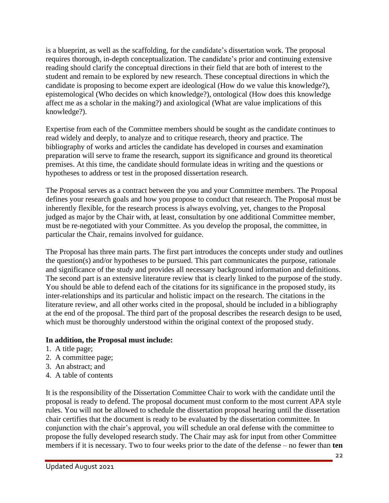is a blueprint, as well as the scaffolding, for the candidate's dissertation work. The proposal requires thorough, in-depth conceptualization. The candidate's prior and continuing extensive reading should clarify the conceptual directions in their field that are both of interest to the student and remain to be explored by new research. These conceptual directions in which the candidate is proposing to become expert are ideological (How do we value this knowledge?), epistemological (Who decides on which knowledge?), ontological (How does this knowledge affect me as a scholar in the making?) and axiological (What are value implications of this knowledge?).

Expertise from each of the Committee members should be sought as the candidate continues to read widely and deeply, to analyze and to critique research, theory and practice. The bibliography of works and articles the candidate has developed in courses and examination preparation will serve to frame the research, support its significance and ground its theoretical premises. At this time, the candidate should formulate ideas in writing and the questions or hypotheses to address or test in the proposed dissertation research.

The Proposal serves as a contract between the you and your Committee members. The Proposal defines your research goals and how you propose to conduct that research. The Proposal must be inherently flexible, for the research process is always evolving, yet, changes to the Proposal judged as major by the Chair with, at least, consultation by one additional Committee member, must be re-negotiated with your Committee. As you develop the proposal, the committee, in particular the Chair, remains involved for guidance.

The Proposal has three main parts. The first part introduces the concepts under study and outlines the question(s) and/or hypotheses to be pursued. This part communicates the purpose, rationale and significance of the study and provides all necessary background information and definitions. The second part is an extensive literature review that is clearly linked to the purpose of the study. You should be able to defend each of the citations for its significance in the proposed study, its inter-relationships and its particular and holistic impact on the research. The citations in the literature review, and all other works cited in the proposal, should be included in a bibliography at the end of the proposal. The third part of the proposal describes the research design to be used, which must be thoroughly understood within the original context of the proposed study.

#### **In addition, the Proposal must include:**

- 1. A title page;
- 2. A committee page;
- 3. An abstract; and
- 4. A table of contents

It is the responsibility of the Dissertation Committee Chair to work with the candidate until the proposal is ready to defend. The proposal document must conform to the most current APA style rules. You will not be allowed to schedule the dissertation proposal hearing until the dissertation chair certifies that the document is ready to be evaluated by the dissertation committee. In conjunction with the chair's approval, you will schedule an oral defense with the committee to propose the fully developed research study. The Chair may ask for input from other Committee members if it is necessary. Two to four weeks prior to the date of the defense – no fewer than **ten**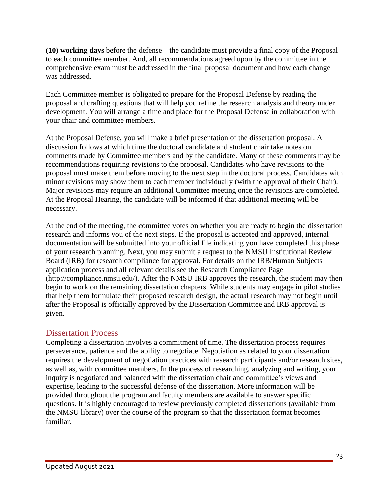**(10) working days** before the defense – the candidate must provide a final copy of the Proposal to each committee member. And, all recommendations agreed upon by the committee in the comprehensive exam must be addressed in the final proposal document and how each change was addressed.

Each Committee member is obligated to prepare for the Proposal Defense by reading the proposal and crafting questions that will help you refine the research analysis and theory under development. You will arrange a time and place for the Proposal Defense in collaboration with your chair and committee members.

At the Proposal Defense, you will make a brief presentation of the dissertation proposal. A discussion follows at which time the doctoral candidate and student chair take notes on comments made by Committee members and by the candidate. Many of these comments may be recommendations requiring revisions to the proposal. Candidates who have revisions to the proposal must make them before moving to the next step in the doctoral process. Candidates with minor revisions may show them to each member individually (with the approval of their Chair). Major revisions may require an additional Committee meeting once the revisions are completed. At the Proposal Hearing, the candidate will be informed if that additional meeting will be necessary.

At the end of the meeting, the committee votes on whether you are ready to begin the dissertation research and informs you of the next steps. If the proposal is accepted and approved, internal documentation will be submitted into your official file indicating you have completed this phase of your research planning. Next, you may submit a request to the NMSU Institutional Review Board (IRB) for research compliance for approval. For details on the IRB/Human Subjects application process and all relevant details see the Research Compliance Page [\(http://compliance.nmsu.edu/\)](http://compliance.nmsu.edu/). After the NMSU IRB approves the research, the student may then begin to work on the remaining dissertation chapters. While students may engage in pilot studies that help them formulate their proposed research design, the actual research may not begin until after the Proposal is officially approved by the Dissertation Committee and IRB approval is given.

### Dissertation Process

Completing a dissertation involves a commitment of time. The dissertation process requires perseverance, patience and the ability to negotiate. Negotiation as related to your dissertation requires the development of negotiation practices with research participants and/or research sites, as well as, with committee members. In the process of researching, analyzing and writing, your inquiry is negotiated and balanced with the dissertation chair and committee's views and expertise, leading to the successful defense of the dissertation. More information will be provided throughout the program and faculty members are available to answer specific questions. It is highly encouraged to review previously completed dissertations (available from the NMSU library) over the course of the program so that the dissertation format becomes familiar.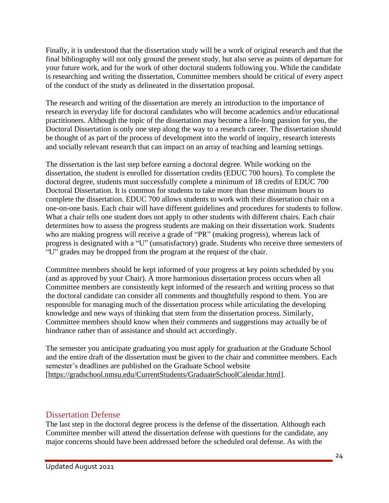Finally, it is understood that the dissertation study will be a work of original research and that the final bibliography will not only ground the present study, but also serve as points of departure for your future work, and for the work of other doctoral students following you. While the candidate is researching and writing the dissertation, Committee members should be critical of every aspect of the conduct of the study as delineated in the dissertation proposal.

The research and writing of the dissertation are merely an introduction to the importance of research in everyday life for doctoral candidates who will become academics and/or educational practitioners. Although the topic of the dissertation may become a life-long passion for you, the Doctoral Dissertation is only one step along the way to a research career. The dissertation should be thought of as part of the process of development into the world of inquiry, research interests and socially relevant research that can impact on an array of teaching and learning settings.

The dissertation is the last step before earning a doctoral degree. While working on the dissertation, the student is enrolled for dissertation credits (EDUC 700 hours). To complete the doctoral degree, students must successfully complete a minimum of 18 credits of EDUC 700 Doctoral Dissertation. It is common for students to take more than these minimum hours to complete the dissertation. EDUC 700 allows students to work with their dissertation chair on a one-on-one basis. Each chair will have different guidelines and procedures for students to follow. What a chair tells one student does not apply to other students with different chairs. Each chair determines how to assess the progress students are making on their dissertation work. Students who are making progress will receive a grade of "PR" (making progress), whereas lack of progress is designated with a "U" (unsatisfactory) grade. Students who receive three semesters of "U" grades may be dropped from the program at the request of the chair.

Committee members should be kept informed of your progress at key points scheduled by you (and as approved by your Chair). A more harmonious dissertation process occurs when all Committee members are consistently kept informed of the research and writing process so that the doctoral candidate can consider all comments and thoughtfully respond to them. You are responsible for managing much of the dissertation process while articulating the developing knowledge and new ways of thinking that stem from the dissertation process. Similarly, Committee members should know when their comments and suggestions may actually be of hindrance rather than of assistance and should act accordingly.

The semester you anticipate graduating you must apply for graduation at the Graduate School and the entire draft of the dissertation must be given to the chair and committee members. Each semester's deadlines are published on the Graduate School website [\[https://gradschool.nmsu.edu/CurrentStudents/GraduateSchoolCalendar.html\]](https://gradschool.nmsu.edu/Current%20Students/Graduate%20School%20Calendar.html).

### Dissertation Defense

The last step in the doctoral degree process is the defense of the dissertation. Although each Committee member will attend the dissertation defense with questions for the candidate, any major concerns should have been addressed before the scheduled oral defense. As with the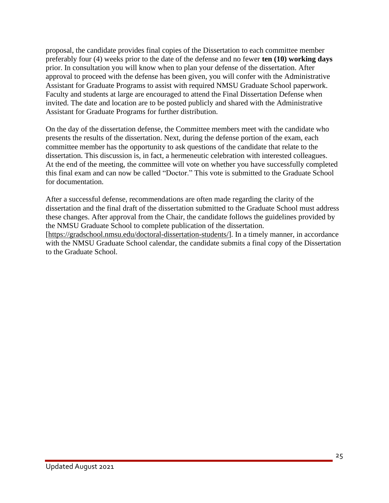proposal, the candidate provides final copies of the Dissertation to each committee member preferably four (4) weeks prior to the date of the defense and no fewer **ten (10) working days** prior. In consultation you will know when to plan your defense of the dissertation. After approval to proceed with the defense has been given, you will confer with the Administrative Assistant for Graduate Programs to assist with required NMSU Graduate School paperwork. Faculty and students at large are encouraged to attend the Final Dissertation Defense when invited. The date and location are to be posted publicly and shared with the Administrative Assistant for Graduate Programs for further distribution.

On the day of the dissertation defense, the Committee members meet with the candidate who presents the results of the dissertation. Next, during the defense portion of the exam, each committee member has the opportunity to ask questions of the candidate that relate to the dissertation. This discussion is, in fact, a hermeneutic celebration with interested colleagues. At the end of the meeting, the committee will vote on whether you have successfully completed this final exam and can now be called "Doctor." This vote is submitted to the Graduate School for documentation.

After a successful defense, recommendations are often made regarding the clarity of the dissertation and the final draft of the dissertation submitted to the Graduate School must address these changes. After approval from the Chair, the candidate follows the guidelines provided by the NMSU Graduate School to complete publication of the dissertation.

[\[https://gradschool.nmsu.edu/doctoral-dissertation-students/\]](https://gradschool.nmsu.edu/doctoral-dissertation-students/). In a timely manner, in accordance with the NMSU Graduate School calendar, the candidate submits a final copy of the Dissertation to the Graduate School.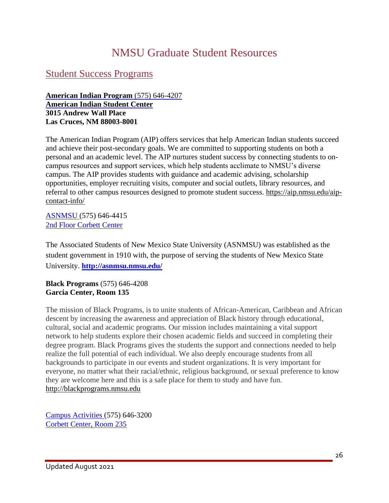# NMSU Graduate Student Resources

### Student Success Programs

#### **American Indian Program** (575) 646-4207 **American Indian Student Center 3015 Andrew Wall Place Las Cruces, NM 88003-8001**

The American Indian Program (AIP) offers services that help American Indian students succeed and achieve their post-secondary goals. We are committed to supporting students on both a personal and an academic level. The AIP nurtures student success by connecting students to oncampus resources and support services, which help students acclimate to NMSU's diverse campus. The AIP provides students with guidance and academic advising, scholarship opportunities, employer recruiting visits, computer and social outlets, library resources, and referral to other campus resources designed to promote student success. [https://aip.nmsu.edu/aip](https://aip.nmsu.edu/aip-contact-info/)[contact-info/](https://aip.nmsu.edu/aip-contact-info/)

[ASNMSU](http://asnmsu.nmsu.edu/) (575) 646-4415 2nd Floor Corbett Center

The Associated Students of New Mexico State University (ASNMSU) was established as the student government in 1910 with, the purpose of serving the students of New Mexico State University. **<http://asnmsu.nmsu.edu/>**

**Black Programs** (575) 646-4208 **Garcia Center, Room 135**

The mission of Black Programs, is to unite students of African-American, Caribbean and African descent by increasing the awareness and appreciation of Black history through educational, cultural, social and academic programs. Our mission includes maintaining a vital support network to help students explore their chosen academic fields and succeed in completing their degree program. Black Programs gives the students the support and connections needed to help realize the full potential of each individual. We also deeply encourage students from all backgrounds to participate in our events and student organizations. It is very important for everyone, no matter what their racial/ethnic, religious background, or sexual preference to know they are welcome here and this is a safe place for them to study and have fun. [http://blackprograms.nmsu.edu](http://blackprograms.nmsu.edu/)

Campus [Activities](http://campusactivities.nmsu.edu/index.php) (575) 646-3200 Corbett Center, Room 235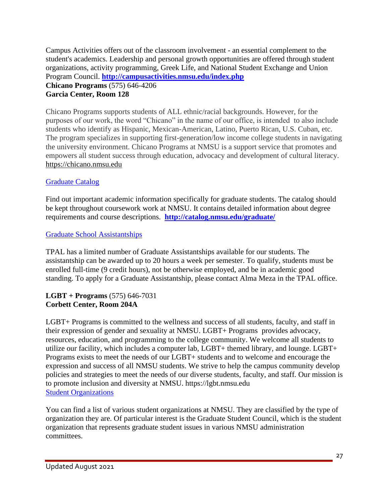Campus Activities offers out of the classroom involvement - an essential complement to the student's academics. Leadership and personal growth opportunities are offered through student organizations, activity programming, Greek Life, and National Student Exchange and Union Program Council. **<http://campusactivities.nmsu.edu/index.php> Chicano Programs** (575) 646-4206 **Garcia Center, Room 128**

Chicano Programs supports students of ALL ethnic/racial backgrounds. However, for the purposes of our work, the word "Chicano" in the name of our office, is intended to also include students who identify as Hispanic, Mexican-American, Latino, Puerto Rican, U.S. Cuban, etc. The program specializes in supporting first-generation/low income college students in navigating the university environment. Chicano Programs at NMSU is a support service that promotes and empowers all student success through education, advocacy and development of cultural literacy. [https://chicano.nmsu.edu](https://chicano.nmsu.edu/)

### [Graduate](http://catalog.nmsu.edu/graduate/) Catalog

Find out important academic information specifically for graduate students. The catalog should be kept throughout coursework work at NMSU. It contains detailed information about degree requirements and course descriptions. **<http://catalog.nmsu.edu/graduate/>**

### Graduate School Assistantships

TPAL has a limited number of Graduate Assistantships available for our students. The assistantship can be awarded up to 20 hours a week per semester. To qualify, students must be enrolled full-time (9 credit hours), not be otherwise employed, and be in academic good standing. To apply for a Graduate Assistantship, please contact Alma Meza in the TPAL office.

#### **LGBT + Programs** (575) 646-7031 **Corbett Center, Room 204A**

LGBT+ Programs is committed to the wellness and success of all students, faculty, and staff in their expression of gender and sexuality at NMSU. LGBT+ Programs provides advocacy, resources, education, and programming to the college community. We welcome all students to utilize our facility, which includes a computer lab, LGBT+ themed library, and lounge. LGBT+ Programs exists to meet the needs of our LGBT+ students and to welcome and encourage the expression and success of all NMSU students. We strive to help the campus community develop policies and strategies to meet the needs of our diverse students, faculty, and staff. Our mission is to promote inclusion and diversity at NMSU. https://lgbt.nmsu.edu Student [Organizations](http://upc.nmsu.edu/charter/list.php?select=all)

You can find a list of various student organizations at NMSU. They are classified by the type of organization they are. Of particular interest is the Graduate Student Council, which is the student organization that represents graduate student issues in various NMSU administration committees.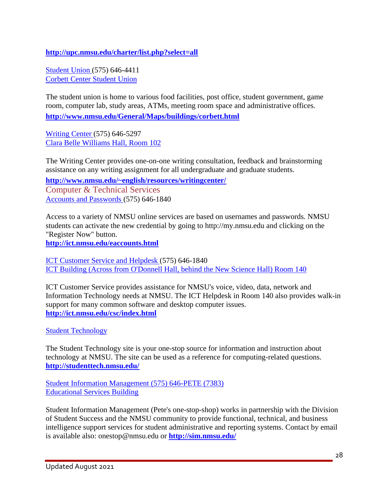**<http://upc.nmsu.edu/charter/list.php?select=all>**

[Student](http://www.nmsu.edu/General/Maps/buildings/corbett.html) Union (575) 646-4411 Corbett Center Student Union

The student union is home to various food facilities, post office, student government, game room, computer lab, study areas, ATMs, meeting room space and administrative offices. **<http://www.nmsu.edu/General/Maps/buildings/corbett.html>**

[Writing](http://www.nmsu.edu/~english/resources/writingcenter/) Center (575) 646-5297 Clara Belle Williams Hall, Room 102

The Writing Center provides one-on-one writing consultation, feedback and brainstorming assistance on any writing assignment for all undergraduate and graduate students.

**http://www.nmsu.edu/~english/resources/writingcenter/**

Computer & Technical Services Accounts and [Passwords](http://ict.nmsu.edu/eaccounts.html) (575) 646-1840

Access to a variety of NMSU online services are based on usernames and passwords. NMSU students can activate the new credential by going to http://my.nmsu.edu and clicking on the "Register Now" button.

**<http://ict.nmsu.edu/eaccounts.html>**

ICT [Customer](http://ict.nmsu.edu/csc/index.html) Service and Helpdesk (575) 646-1840 ICT Building (Across from O'Donnell Hall, behind the New Science Hall) Room 140

ICT Customer Service provides assistance for NMSU's voice, video, data, network and Information Technology needs at NMSU. The ICT Helpdesk in Room 140 also provides walk-in support for many common software and desktop computer issues. **<http://ict.nmsu.edu/csc/index.html>**

Student [Technology](http://studenttech.nmsu.edu/)

The Student Technology site is your one-stop source for information and instruction about technology at NMSU. The site can be used as a reference for computing-related questions. **<http://studenttech.nmsu.edu/>**

Student Information [Management](http://sim.nmsu.edu/) (575) 646-PETE (7383) Educational Services Building

Student Information Management (Pete's one-stop-shop) works in partnership with the Division of Student Success and the NMSU community to provide functional, technical, and business intelligence support services for student administrative and reporting systems. Contact by email is available also: onestop@nmsu.edu or **<http://sim.nmsu.edu/>**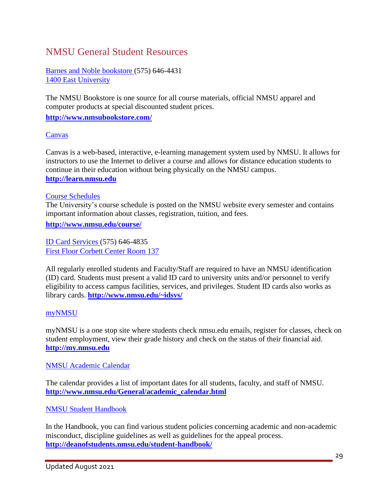## NMSU General Student Resources

Barnes and Noble [bookstore](http://www.nmsubookstore.com/) (575) 646-4431 1400 East University

The NMSU Bookstore is one source for all course materials, official NMSU apparel and computer products at special discounted student prices.

**<http://www.nmsubookstore.com/>**

#### [Canvas](http://learn.nmsu.edu/)

Canvas is a web-based, interactive, e-learning management system used by NMSU. It allows for instructors to use the Internet to deliver a course and allows for distance education students to continue in their education without being physically on the NMSU campus. **[http://learn.nmsu.edu](http://learn.nmsu.edu/)**

#### Course [Schedules](http://www.nmsu.edu/course/)

The University's course schedule is posted on the NMSU website every semester and contains important information about classes, registration, tuition, and fees.

**<http://www.nmsu.edu/course/>**

ID Card [Services](http://www.nmsu.edu/~idsvs/) (575) 646-4835 First Floor Corbett Center Room 137

All regularly enrolled students and Faculty/Staff are required to have an NMSU identification (ID) card. Students must present a valid ID card to university units and/or personnel to verify eligibility to access campus facilities, services, and privileges. Student ID cards also works as library cards. **<http://www.nmsu.edu/~idsvs/>**

#### [myNMSU](http://my.nmsu.edu/)

myNMSU is a one stop site where students check nmsu.edu emails, register for classes, check on student employment, view their grade history and check on the status of their financial aid. **[http://my.nmsu.edu](http://my.nmsu.edu/)**

NMSU [Academic](http://www.nmsu.edu/General/academic_calendar.html) Calendar

The calendar provides a list of important dates for all students, faculty, and staff of NMSU. **[http://www.nmsu.edu/General/academic\\_calendar.html](http://www.nmsu.edu/General/academic_calendar.html)**

NMSU Student [Handbook](http://deanofstudents.nmsu.edu/student-handbook/)

In the Handbook, you can find various student policies concerning academic and non-academic misconduct, discipline guidelines as well as guidelines for the appeal process. **<http://deanofstudents.nmsu.edu/student-handbook/>**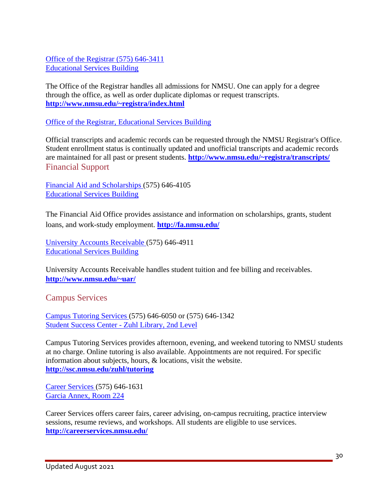Office of the [Registrar](http://www.nmsu.edu/~registra/index.html) (575) 646-3411 Educational Services Building

The Office of the Registrar handles all admissions for NMSU. One can apply for a degree through the office, as well as order duplicate diplomas or request transcripts. **<http://www.nmsu.edu/~registra/index.html>**

Office of the Registrar, Educational Services Building

Official transcripts and academic records can be requested through the NMSU Registrar's Office. Student enrollment status is continually updated and unofficial transcripts and academic records are maintained for all past or present students. **<http://www.nmsu.edu/~registra/transcripts/>** Financial Support

Financial Aid and [Scholarships](http://fa.nmsu.edu/) (575) 646-4105 Educational Services Building

The Financial Aid Office provides assistance and information on scholarships, grants, student loans, and work-study employment. **<http://fa.nmsu.edu/>**

University Accounts [Receivable](http://www.nmsu.edu/~uar/) (575) 646-4911 Educational Services Building

University Accounts Receivable handles student tuition and fee billing and receivables. **<http://www.nmsu.edu/~uar/>**

Campus Services

Campus [Tutoring](http://ssc.nmsu.edu/zuhl/tutoring) Services (575) 646-6050 or (575) 646-1342 Student Success Center - Zuhl Library, 2nd Level

Campus Tutoring Services provides afternoon, evening, and weekend tutoring to NMSU students at no charge. Online tutoring is also available. Appointments are not required. For specific information about subjects, hours, & locations, visit the website. **<http://ssc.nmsu.edu/zuhl/tutoring>**

Career [Services](http://careerservices.nmsu.edu/) (575) 646-1631 Garcia Annex, Room 224

Career Services offers career fairs, career advising, on-campus recruiting, practice interview sessions, resume reviews, and workshops. All students are eligible to use services. **<http://careerservices.nmsu.edu/>**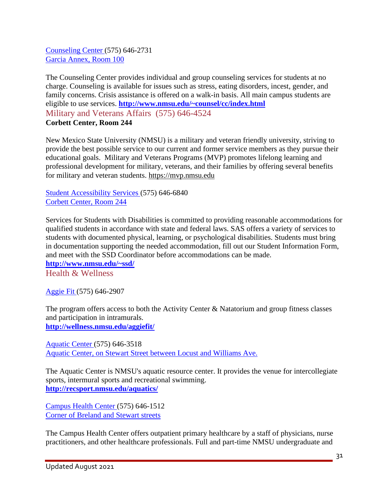[Counseling](http://www.nmsu.edu/~counsel/cc/index.html) Center (575) 646-2731 Garcia Annex, Room 100

The Counseling Center provides individual and group counseling services for students at no charge. Counseling is available for issues such as stress, eating disorders, incest, gender, and family concerns. Crisis assistance is offered on a walk-in basis. All main campus students are eligible to use services. **<http://www.nmsu.edu/~counsel/cc/index.html>** Military and Veterans Affairs (575) 646-4524 **Corbett Center, Room 244**

New Mexico State University (NMSU) is a military and veteran friendly university, striving to provide the best possible service to our current and former service members as they pursue their educational goals. Military and Veterans Programs (MVP) promotes lifelong learning and professional development for military, veterans, and their families by offering several benefits for military and veteran students. [https://mvp.nmsu.edu](https://mvp.nmsu.edu/)

Student [Accessibility](http://www.nmsu.edu/~ssd/) Services (575) 646-6840 Corbett Center, Room 244

Services for Students with Disabilities is committed to providing reasonable accommodations for qualified students in accordance with state and federal laws. SAS offers a variety of services to students with documented physical, learning, or psychological disabilities. Students must bring in documentation supporting the needed accommodation, fill out our Student Information Form, and meet with the SSD Coordinator before accommodations can be made.

**<http://www.nmsu.edu/~ssd/>** Health & Wellness

[Aggie](http://wellness.nmsu.edu/aggiefit/) Fit (575) 646-2907

The program offers access to both the Activity Center & Natatorium and group fitness classes and participation in intramurals. **<http://wellness.nmsu.edu/aggiefit/>**

[Aquatic](http://recsport.nmsu.edu/aquatics/) Center (575) 646-3518 Aquatic Center, on Stewart Street between Locust and Williams Ave.

The Aquatic Center is NMSU's aquatic resource center. It provides the venue for intercollegiate sports, intermural sports and recreational swimming. **<http://recsport.nmsu.edu/aquatics/>**

[Campus](http://wellness.nmsu.edu/shc/) Health Center (575) 646-1512 Corner of Breland and Stewart streets

The Campus Health Center offers outpatient primary healthcare by a staff of physicians, nurse practitioners, and other healthcare professionals. Full and part-time NMSU undergraduate and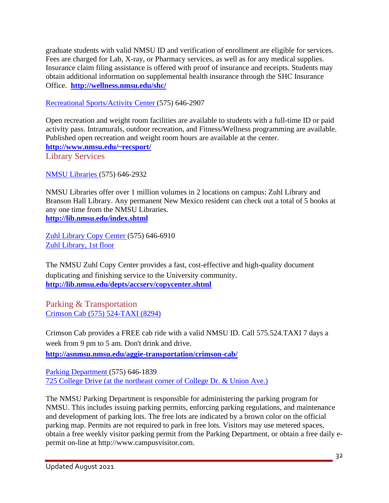graduate students with valid NMSU ID and verification of enrollment are eligible for services. Fees are charged for Lab, X-ray, or Pharmacy services, as well as for any medical supplies. Insurance claim filing assistance is offered with proof of insurance and receipts. Students may obtain additional information on supplemental health insurance through the SHC Insurance Office. **<http://wellness.nmsu.edu/shc/>**

Recreational [Sports/Activity](http://www.nmsu.edu/~recsport/) Center (575) 646-2907

Open recreation and weight room facilities are available to students with a full-time ID or paid activity pass. Intramurals, outdoor recreation, and Fitness/Wellness programming are available. Published open recreation and weight room hours are available at the center. **<http://www.nmsu.edu/~recsport/>** Library Services

NMSU [Libraries](http://lib.nmsu.edu/index.shtml) (575) 646-2932

NMSU Libraries offer over 1 million volumes in 2 locations on campus: Zuhl Library and Branson Hall Library. Any permanent New Mexico resident can check out a total of 5 books at any one time from the NMSU Libraries. **<http://lib.nmsu.edu/index.shtml>**

Zuhl [Library](http://lib.nmsu.edu/depts/accserv/copycenter.shtml) Copy Center (575) 646-6910 Zuhl Library, 1st floor

The NMSU Zuhl Copy Center provides a fast, cost-effective and high-quality document duplicating and finishing service to the University community. **<http://lib.nmsu.edu/depts/accserv/copycenter.shtml>**

Parking & Transportation [Crimson](http://asnmsu.nmsu.edu/aggie-transportation/crimson-cab/) Cab (575) 524-TAXI (8294)

Crimson Cab provides a FREE cab ride with a valid NMSU ID. Call 575.524.TAXI 7 days a week from 9 pm to 5 am. Don't drink and drive.

**<http://asnmsu.nmsu.edu/aggie-transportation/crimson-cab/>**

Parking [Department](http://www.nmsuparking.com/) (575) 646-1839 725 College Drive (at the northeast corner of College Dr. & Union Ave.)

The NMSU Parking Department is responsible for administering the parking program for NMSU. This includes issuing parking permits, enforcing parking regulations, and maintenance and development of parking lots. The free lots are indicated by a brown color on the official parking map. Permits are not required to park in free lots. Visitors may use metered spaces, obtain a free weekly visitor parking permit from the Parking Department, or obtain a free daily epermit on-line at http://www.campusvisitor.com.